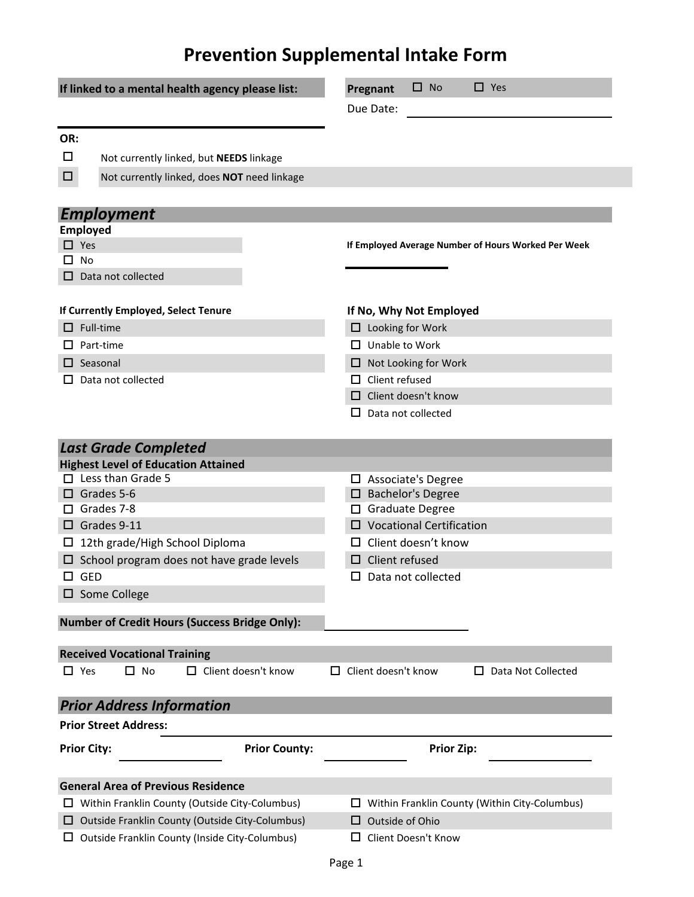## **Prevention Supplemental Intake Form**

| If linked to a mental health agency please list:         |                                                       | $\square$ No<br>$\Box$ Yes<br>Pregnant                                    |
|----------------------------------------------------------|-------------------------------------------------------|---------------------------------------------------------------------------|
|                                                          |                                                       | Due Date:                                                                 |
|                                                          |                                                       |                                                                           |
| OR:                                                      |                                                       |                                                                           |
| □                                                        | Not currently linked, but NEEDS linkage               |                                                                           |
| $\Box$                                                   | Not currently linked, does NOT need linkage           |                                                                           |
|                                                          |                                                       |                                                                           |
|                                                          | <b>Employment</b>                                     |                                                                           |
|                                                          | <b>Employed</b>                                       |                                                                           |
| $\Box$ Yes                                               |                                                       | If Employed Average Number of Hours Worked Per Week                       |
| П.                                                       | No                                                    |                                                                           |
| □                                                        | Data not collected                                    |                                                                           |
|                                                          |                                                       |                                                                           |
| If Currently Employed, Select Tenure<br>$\Box$ Full-time |                                                       | If No, Why Not Employed                                                   |
|                                                          |                                                       | $\Box$ Looking for Work                                                   |
| LΙ                                                       | Part-time                                             | $\Box$ Unable to Work                                                     |
|                                                          | $\Box$ Seasonal                                       | $\Box$ Not Looking for Work                                               |
|                                                          | Data not collected                                    | $\Box$ Client refused                                                     |
|                                                          |                                                       | $\Box$ Client doesn't know                                                |
|                                                          |                                                       | Data not collected<br>ப                                                   |
|                                                          |                                                       |                                                                           |
|                                                          | <b>Last Grade Completed</b>                           |                                                                           |
|                                                          | <b>Highest Level of Education Attained</b>            |                                                                           |
|                                                          | $\Box$ Less than Grade 5                              | $\Box$ Associate's Degree                                                 |
|                                                          | $\Box$ Grades 5-6                                     | $\square$ Bachelor's Degree                                               |
| □                                                        | Grades 7-8                                            | □ Graduate Degree                                                         |
|                                                          | $\Box$ Grades 9-11                                    | $\square$ Vocational Certification                                        |
| ப                                                        | 12th grade/High School Diploma                        | $\Box$ Client doesn't know                                                |
|                                                          | $\Box$ School program does not have grade levels      | Client refused<br>⊔                                                       |
| $\Box$ GED                                               |                                                       | $\Box$ Data not collected                                                 |
|                                                          | $\square$ Some College                                |                                                                           |
|                                                          | <b>Number of Credit Hours (Success Bridge Only):</b>  |                                                                           |
|                                                          |                                                       |                                                                           |
|                                                          | <b>Received Vocational Training</b>                   |                                                                           |
| $\Box$ Yes                                               | $\square$ No<br>Client doesn't know<br>П.             | Client doesn't know<br>Data Not Collected<br>$\mathsf{L}$<br>$\mathbf{L}$ |
|                                                          |                                                       |                                                                           |
|                                                          | <b>Prior Address Information</b>                      |                                                                           |
|                                                          | <b>Prior Street Address:</b>                          |                                                                           |
|                                                          |                                                       |                                                                           |
|                                                          | <b>Prior County:</b><br><b>Prior City:</b>            | <b>Prior Zip:</b>                                                         |
|                                                          |                                                       |                                                                           |
|                                                          | <b>General Area of Previous Residence</b>             |                                                                           |
|                                                          | $\Box$ Within Franklin County (Outside City-Columbus) | Within Franklin County (Within City-Columbus)<br>ப                        |
| ப                                                        | Outside Franklin County (Outside City-Columbus)       | Outside of Ohio<br>ப                                                      |
|                                                          | Outside Franklin County (Inside City-Columbus)        | Client Doesn't Know<br>LΙ                                                 |
|                                                          |                                                       |                                                                           |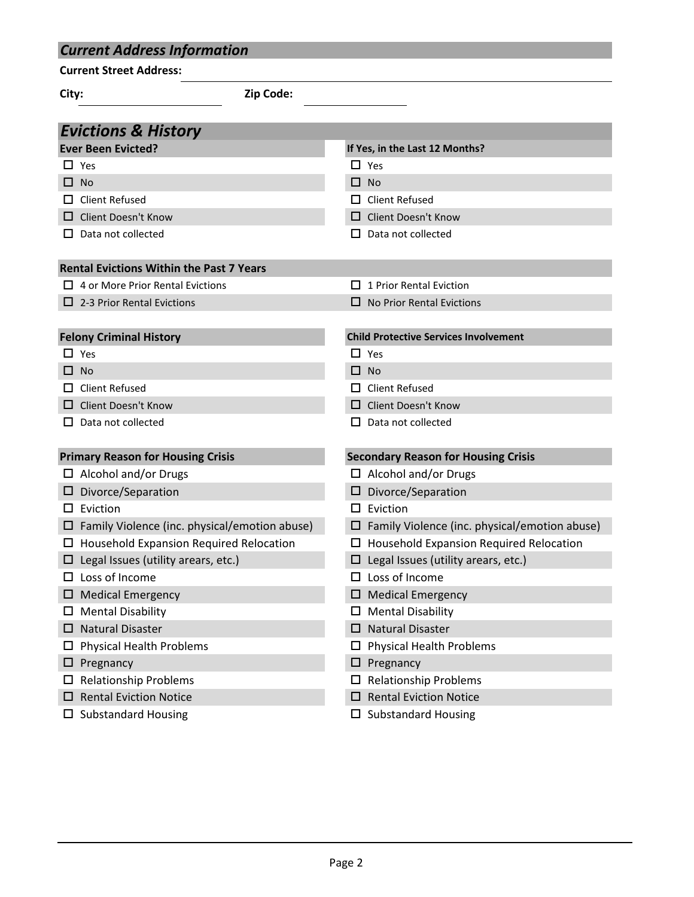| <b>Current Address Information</b>                   |                                                         |  |  |  |
|------------------------------------------------------|---------------------------------------------------------|--|--|--|
| <b>Current Street Address:</b>                       |                                                         |  |  |  |
| Zip Code:<br>City:                                   |                                                         |  |  |  |
|                                                      |                                                         |  |  |  |
| <b>Evictions &amp; History</b>                       |                                                         |  |  |  |
| <b>Ever Been Evicted?</b>                            | If Yes, in the Last 12 Months?                          |  |  |  |
| $\Box$ Yes                                           | $\Box$ Yes                                              |  |  |  |
| $\Box$ No                                            | □<br><b>No</b>                                          |  |  |  |
| <b>Client Refused</b><br>LΙ                          | <b>Client Refused</b>                                   |  |  |  |
| Client Doesn't Know                                  | <b>Client Doesn't Know</b>                              |  |  |  |
| Data not collected<br>ப                              | Data not collected<br>ப                                 |  |  |  |
| <b>Rental Evictions Within the Past 7 Years</b>      |                                                         |  |  |  |
| $\Box$ 4 or More Prior Rental Evictions              | 1 Prior Rental Eviction                                 |  |  |  |
| $\Box$ 2-3 Prior Rental Evictions                    | No Prior Rental Evictions<br>$\mathsf{L}$               |  |  |  |
|                                                      |                                                         |  |  |  |
| <b>Felony Criminal History</b>                       | <b>Child Protective Services Involvement</b>            |  |  |  |
| $\square$ Yes                                        | $\Box$ Yes                                              |  |  |  |
| $\Box$ No                                            | <b>No</b><br>ப                                          |  |  |  |
| Client Refused                                       | <b>Client Refused</b>                                   |  |  |  |
| □ Client Doesn't Know                                | <b>Client Doesn't Know</b>                              |  |  |  |
| Data not collected                                   | Data not collected                                      |  |  |  |
| <b>Primary Reason for Housing Crisis</b>             | <b>Secondary Reason for Housing Crisis</b>              |  |  |  |
| $\Box$ Alcohol and/or Drugs                          | $\Box$ Alcohol and/or Drugs                             |  |  |  |
| $\square$ Divorce/Separation                         | Divorce/Separation                                      |  |  |  |
| Eviction<br>ப                                        | Eviction<br>ப                                           |  |  |  |
| $\Box$ Family Violence (inc. physical/emotion abuse) | Family Violence (inc. physical/emotion abuse)<br>$\Box$ |  |  |  |
| <b>Household Expansion Required Relocation</b><br>ப  | $\Box$ Household Expansion Required Relocation          |  |  |  |
| Legal Issues (utility arears, etc.)                  | Legal Issues (utility arears, etc.)                     |  |  |  |
| Loss of Income                                       | Loss of Income                                          |  |  |  |
| <b>Medical Emergency</b>                             | <b>Medical Emergency</b><br>⊔                           |  |  |  |
| <b>Mental Disability</b>                             | <b>Mental Disability</b><br>ப                           |  |  |  |
| <b>Natural Disaster</b>                              | <b>Natural Disaster</b><br>⊔                            |  |  |  |
| <b>Physical Health Problems</b>                      | <b>Physical Health Problems</b><br>ப                    |  |  |  |
| Pregnancy<br>ப                                       | Pregnancy<br>ப                                          |  |  |  |
| <b>Relationship Problems</b>                         | <b>Relationship Problems</b>                            |  |  |  |
| <b>Rental Eviction Notice</b>                        | <b>Rental Eviction Notice</b><br>⊔                      |  |  |  |
| <b>Substandard Housing</b><br>ப                      | <b>Substandard Housing</b><br>ப                         |  |  |  |